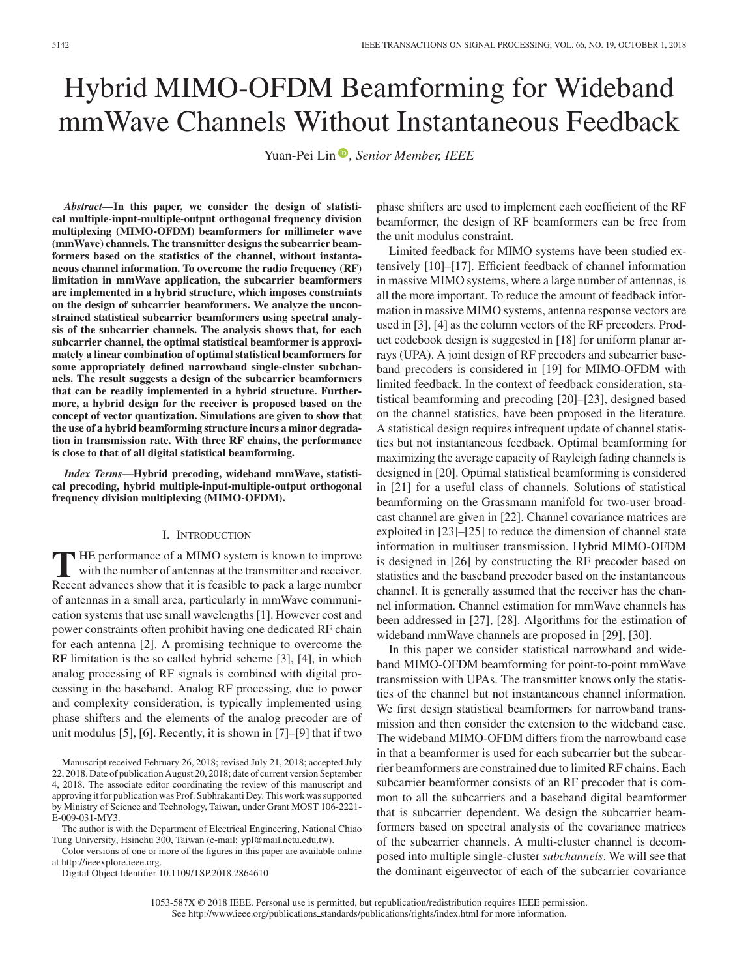# Hybrid MIMO-OFDM Beamforming for Wideband mmWave Channels Without Instantaneous Feedback

Yuan-Pei Lin<sup>®</sup>[,](https://orcid.org/0000-0001-5693-1558) Senior Member, IEEE

*Abstract***—In this paper, we consider the design of statistical multiple-input-multiple-output orthogonal frequency division multiplexing (MIMO-OFDM) beamformers for millimeter wave (mmWave) channels. The transmitter designs the subcarrier beamformers based on the statistics of the channel, without instantaneous channel information. To overcome the radio frequency (RF) limitation in mmWave application, the subcarrier beamformers are implemented in a hybrid structure, which imposes constraints on the design of subcarrier beamformers. We analyze the unconstrained statistical subcarrier beamformers using spectral analysis of the subcarrier channels. The analysis shows that, for each subcarrier channel, the optimal statistical beamformer is approximately a linear combination of optimal statistical beamformers for some appropriately defined narrowband single-cluster subchannels. The result suggests a design of the subcarrier beamformers that can be readily implemented in a hybrid structure. Furthermore, a hybrid design for the receiver is proposed based on the concept of vector quantization. Simulations are given to show that the use of a hybrid beamforming structure incurs a minor degradation in transmission rate. With three RF chains, the performance is close to that of all digital statistical beamforming.**

*Index Terms***—Hybrid precoding, wideband mmWave, statistical precoding, hybrid multiple-input-multiple-output orthogonal frequency division multiplexing (MIMO-OFDM).**

### I. INTRODUCTION

**T** HE performance of a MIMO system is known to improve with the number of antennas at the transmitter and receiver. Recent advances show that it is feasible to pack a large number of antennas in a small area, particularly in mmWave communication systems that use small wavelengths [1]. However cost and power constraints often prohibit having one dedicated RF chain for each antenna [2]. A promising technique to overcome the RF limitation is the so called hybrid scheme [3], [4], in which analog processing of RF signals is combined with digital processing in the baseband. Analog RF processing, due to power and complexity consideration, is typically implemented using phase shifters and the elements of the analog precoder are of unit modulus [5], [6]. Recently, it is shown in [7]–[9] that if two

The author is with the Department of Electrical Engineering, National Chiao Tung University, Hsinchu 300, Taiwan (e-mail: ypl@mail.nctu.edu.tw).

Color versions of one or more of the figures in this paper are available online at http://ieeexplore.ieee.org.

Digital Object Identifier 10.1109/TSP.2018.2864610

phase shifters are used to implement each coefficient of the RF beamformer, the design of RF beamformers can be free from the unit modulus constraint.

Limited feedback for MIMO systems have been studied extensively [10]–[17]. Efficient feedback of channel information in massive MIMO systems, where a large number of antennas, is all the more important. To reduce the amount of feedback information in massive MIMO systems, antenna response vectors are used in [3], [4] as the column vectors of the RF precoders. Product codebook design is suggested in [18] for uniform planar arrays (UPA). A joint design of RF precoders and subcarrier baseband precoders is considered in [19] for MIMO-OFDM with limited feedback. In the context of feedback consideration, statistical beamforming and precoding [20]–[23], designed based on the channel statistics, have been proposed in the literature. A statistical design requires infrequent update of channel statistics but not instantaneous feedback. Optimal beamforming for maximizing the average capacity of Rayleigh fading channels is designed in [20]. Optimal statistical beamforming is considered in [21] for a useful class of channels. Solutions of statistical beamforming on the Grassmann manifold for two-user broadcast channel are given in [22]. Channel covariance matrices are exploited in [23]–[25] to reduce the dimension of channel state information in multiuser transmission. Hybrid MIMO-OFDM is designed in [26] by constructing the RF precoder based on statistics and the baseband precoder based on the instantaneous channel. It is generally assumed that the receiver has the channel information. Channel estimation for mmWave channels has been addressed in [27], [28]. Algorithms for the estimation of wideband mmWave channels are proposed in [29], [30].

In this paper we consider statistical narrowband and wideband MIMO-OFDM beamforming for point-to-point mmWave transmission with UPAs. The transmitter knows only the statistics of the channel but not instantaneous channel information. We first design statistical beamformers for narrowband transmission and then consider the extension to the wideband case. The wideband MIMO-OFDM differs from the narrowband case in that a beamformer is used for each subcarrier but the subcarrier beamformers are constrained due to limited RF chains. Each subcarrier beamformer consists of an RF precoder that is common to all the subcarriers and a baseband digital beamformer that is subcarrier dependent. We design the subcarrier beamformers based on spectral analysis of the covariance matrices of the subcarrier channels. A multi-cluster channel is decomposed into multiple single-cluster *subchannels*. We will see that the dominant eigenvector of each of the subcarrier covariance

Manuscript received February 26, 2018; revised July 21, 2018; accepted July 22, 2018. Date of publication August 20, 2018; date of current version September 4, 2018. The associate editor coordinating the review of this manuscript and approving it for publication was Prof. Subhrakanti Dey. This work was supported by Ministry of Science and Technology, Taiwan, under Grant MOST 106-2221- E-009-031-MY3.

<sup>1053-587</sup>X © 2018 IEEE. Personal use is permitted, but republication/redistribution requires IEEE permission. See http://www.ieee.org/publications standards/publications/rights/index.html for more information.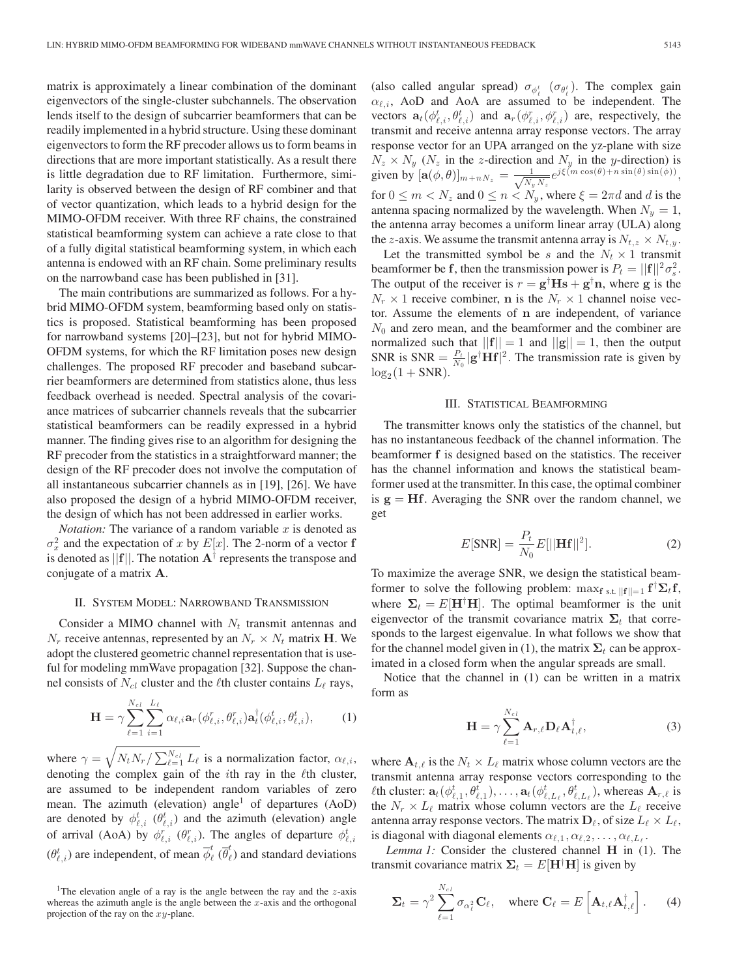matrix is approximately a linear combination of the dominant eigenvectors of the single-cluster subchannels. The observation lends itself to the design of subcarrier beamformers that can be readily implemented in a hybrid structure. Using these dominant eigenvectors to form the RF precoder allows us to form beams in directions that are more important statistically. As a result there is little degradation due to RF limitation. Furthermore, similarity is observed between the design of RF combiner and that of vector quantization, which leads to a hybrid design for the MIMO-OFDM receiver. With three RF chains, the constrained statistical beamforming system can achieve a rate close to that of a fully digital statistical beamforming system, in which each antenna is endowed with an RF chain. Some preliminary results on the narrowband case has been published in [31].

The main contributions are summarized as follows. For a hybrid MIMO-OFDM system, beamforming based only on statistics is proposed. Statistical beamforming has been proposed for narrowband systems [20]–[23], but not for hybrid MIMO-OFDM systems, for which the RF limitation poses new design challenges. The proposed RF precoder and baseband subcarrier beamformers are determined from statistics alone, thus less feedback overhead is needed. Spectral analysis of the covariance matrices of subcarrier channels reveals that the subcarrier statistical beamformers can be readily expressed in a hybrid manner. The finding gives rise to an algorithm for designing the RF precoder from the statistics in a straightforward manner; the design of the RF precoder does not involve the computation of all instantaneous subcarrier channels as in [19], [26]. We have also proposed the design of a hybrid MIMO-OFDM receiver, the design of which has not been addressed in earlier works.

*Notation:* The variance of a random variable  $x$  is denoted as  $\sigma_x^2$  and the expectation of x by  $E[x]$ . The 2-norm of a vector **f** is denoted as [[f]]. The notation  $\mathbf{A}^{\dagger}$  represents the transpose and is denoted as  $||\mathbf{f}||$ . The notation  $\mathbf{A}^{\dagger}$  represents the transpose and conjugate of a matrix **A**.

#### II. SYSTEM MODEL: NARROWBAND TRANSMISSION

Consider a MIMO channel with  $N_t$  transmit antennas and  $N_r$  receive antennas, represented by an  $N_r \times N_t$  matrix **H**. We adopt the clustered geometric channel representation that is useful for modeling mmWave propagation [32]. Suppose the channel consists of  $N_{cl}$  cluster and the  $\ell$ th cluster contains  $L_{\ell}$  rays,

$$
\mathbf{H} = \gamma \sum_{\ell=1}^{N_{cl}} \sum_{i=1}^{L_{\ell}} \alpha_{\ell,i} \mathbf{a}_{r} (\phi_{\ell,i}^{r}, \theta_{\ell,i}^{r}) \mathbf{a}_{t}^{\dagger} (\phi_{\ell,i}^{t}, \theta_{\ell,i}^{t}), \qquad (1)
$$

where  $\gamma = \sqrt{N_t N_r / \sum_{\ell=1}^{N_{cl}} L_\ell}$  is a normalization factor,  $\alpha_{\ell,i}$ , denoting the complex goin of the *i*th rev in the *l*<sup>th</sup> cluster. denoting the complex gain of the  $i$ th ray in the  $\ell$ th cluster, are assumed to be independent random variables of zero mean. The azimuth (elevation) angle<sup>1</sup> of departures  $(AoD)$ are denoted by  $\phi_{\ell,i}^t$  ( $\theta_{\ell,i}^t$ ) and the azimuth (elevation) angle of arrival (AoA) by  $\phi_{\ell,i}^r$  ( $\theta_{\ell,i}^r$ ). The angles of departure  $\phi_{\ell,i}^t$  $(\theta_{\ell,i}^t)$  are independent, of mean  $\overline{\phi}_{\ell}^t$  ( $\overline{\theta}_{\ell}^t$ ) and standard deviations

(also called angular spread)  $\sigma_{\phi_t^i}$  ( $\sigma_{\theta_t^i}$ ). The complex gain  $\alpha_{\ell,i}$ , AoD and AoA are assumed to be independent. The vectors  $\mathbf{a}_t(\phi_{\ell,i}^t, \theta_{\ell,i}^t)$  and  $\mathbf{a}_r(\phi_{\ell,i}^r, \phi_{\ell,i}^t)$  are, respectively, the transmit and receive antenna array response vectors. The array response vector for an UPA arranged on the yz-plane with size  $N_z \times N_y$  ( $N_z$  in the z-direction and  $N_y$  in the y-direction) is given by  $[\mathbf{a}(\phi, \theta)]_{m+nN_z} = \frac{1}{\sqrt{N_y N_z}} e^{j\xi(m\cos(\theta) + n\sin(\theta)\sin(\phi))},$ for  $0 \le m < N_z$  and  $0 \le n < N_y$ , where  $\xi = 2\pi d$  and d is the antenna spacing normalized by the wavelength. When  $N_y = 1$ , the antenna array becomes a uniform linear array (ULA) along the z-axis. We assume the transmit antenna array is  $N_{t,z} \times N_{t,y}$ .

Let the transmitted symbol be s and the  $N_t \times 1$  transmit beamformer be **f**, then the transmission power is  $P_t = ||\mathbf{f}||^2 \sigma_s^2$ .<br>The output of the receiver is  $r - \sigma^{\dagger} \mathbf{H} \mathbf{s} + \sigma^{\dagger} \mathbf{n}$ , where  $\sigma$  is the The output of the receiver is  $r = g^{\dagger}Hs + g^{\dagger}n$ , where g is the  $N \times 1$  receive combiner n is the  $N \times 1$  channel noise yec- $N_r \times 1$  receive combiner, **n** is the  $N_r \times 1$  channel noise vector. Assume the elements of **n** are independent, of variance  $N_0$  and zero mean, and the beamformer and the combiner are normalized such that  $||{\bf f}|| = 1$  and  $||{\bf g}|| = 1$ , then the output SNR is SNR =  $\frac{P_t}{N_0} |\mathbf{g}^\dagger \mathbf{H} \mathbf{f}|^2$ . The transmission rate is given by  $\log_2(1 + S\mathbf{N}\mathbf{R})$  $\log_2(1 + SNR)$ .

#### III. STATISTICAL BEAMFORMING

The transmitter knows only the statistics of the channel, but has no instantaneous feedback of the channel information. The beamformer **f** is designed based on the statistics. The receiver has the channel information and knows the statistical beamformer used at the transmitter. In this case, the optimal combiner is  $g = Hf$ . Averaging the SNR over the random channel, we get

$$
E[\text{SNR}] = \frac{P_t}{N_0} E[||\mathbf{H} \mathbf{f}||^2].
$$
 (2)

To maximize the average SNR, we design the statistical beamformer to solve the following problem:  $\max_{f \text{ s.t. } ||f|| = 1} f^{\dagger} \Sigma_{t} f$ , where  $\sum_{f} E[\text{H}^{\dagger} \textbf{H}]$ . The optimal beamformer is the unit where  $\Sigma_t = E[\mathbf{H}^{\dagger} \mathbf{H}]$ . The optimal beamformer is the unit eigenvector of the transmit covariance matrix  $\Sigma_t$  that corresponds to the largest eigenvalue. In what follows we show that for the channel model given in (1), the matrix  $\Sigma_t$  can be approximated in a closed form when the angular spreads are small.

Notice that the channel in (1) can be written in a matrix form as

$$
\mathbf{H} = \gamma \sum_{\ell=1}^{N_{cl}} \mathbf{A}_{r,\ell} \mathbf{D}_{\ell} \mathbf{A}_{t,\ell}^{\dagger}, \qquad (3)
$$

where  $A_{t,\ell}$  is the  $N_t \times L_{\ell}$  matrix whose column vectors are the transmit antenna array response vectors corresponding to the th cluster:  $\mathbf{a}_t(\phi_{\ell,1}^t, \theta_{\ell,1}^t), \ldots, \mathbf{a}_t(\phi_{\ell,L_\ell}^t, \theta_{\ell,L_\ell}^t)$ , whereas  $\mathbf{A}_{r,\ell}$  is<br>the  $N \times L_\ell$  matrix whose column vectors are the L<sub>1</sub> receive the  $N_r \times L_\ell$  matrix whose column vectors are the  $L_\ell$  receive antenna array response vectors. The matrix  $\mathbf{D}_{\ell}$ , of size  $L_{\ell} \times L_{\ell}$ , is diagonal with diagonal elements  $\alpha_{\ell,1}, \alpha_{\ell,2}, \ldots, \alpha_{\ell,L_{\ell}}$ .

*Lemma 1:* Consider the clustered channel **H** in (1). The transmit covariance matrix  $\Sigma_t = E[\mathbf{H}^\dagger \mathbf{H}]$  is given by

$$
\Sigma_t = \gamma^2 \sum_{\ell=1}^{N_{cl}} \sigma_{\alpha_\ell^2} \mathbf{C}_\ell, \quad \text{where } \mathbf{C}_\ell = E\left[\mathbf{A}_{t,\ell} \mathbf{A}_{t,\ell}^\dagger\right]. \tag{4}
$$

<sup>&</sup>lt;sup>1</sup>The elevation angle of a ray is the angle between the ray and the  $z$ -axis whereas the azimuth angle is the angle between the  $x$ -axis and the orthogonal projection of the ray on the  $xy$ -plane.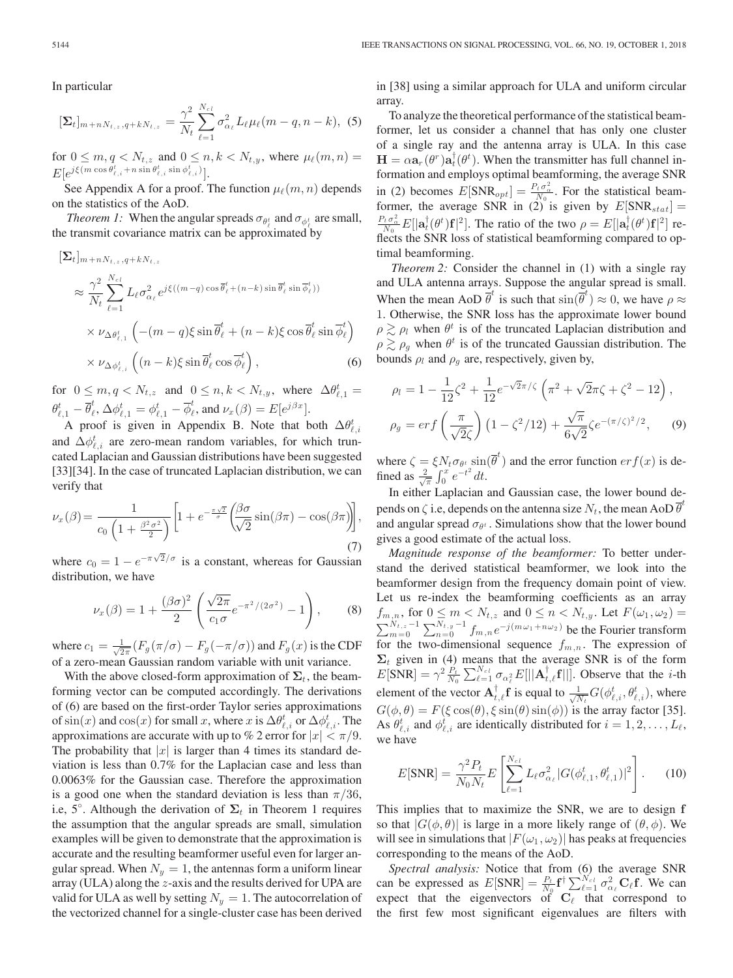In particular

$$
[\Sigma_t]_{m+nN_{t,z},q+kN_{t,z}} = \frac{\gamma^2}{N_t} \sum_{\ell=1}^{N_{cl}} \sigma_{\alpha_\ell}^2 L_\ell \mu_\ell(m-q,n-k), \tag{5}
$$

for  $0 \leq m, q < N_{t,z}$  and  $0 \leq n, k < N_{t,y}$ , where  $\mu_{\ell}(m, n) =$ <br> $\lim_{t \to \infty} \sum_{k} \epsilon(m \cos \theta_{k,k}^k + n \sin \theta_{k,k}^k \sin \theta_{k,k}^k)$  $E[e^{j\xi(m\cos\theta_{\ell,i}^t + n\sin\theta_{\ell,i}^t\sin\phi_{\ell,i}^t)}].$ <br>See Appendix A for a proof

See Appendix A for a proof. The function  $\mu_{\ell}(m, n)$  depends on the statistics of the AoD.

*Theorem 1:* When the angular spreads  $\sigma_{\theta_{\ell}^{t}}$  and  $\sigma_{\phi_{\ell}^{t}}$  are small, the transmit covariance matrix can be approximated by

$$
\begin{split} \left[\Sigma_{t}\right]_{m+nN_{t,z},q+kN_{t,z}}\\ \approx \frac{\gamma^{2}}{N_{t}} \sum_{\ell=1}^{N_{c l}} L_{\ell} \sigma_{\alpha_{\ell}}^{2} e^{j\xi((m-q)\cos\overline{\theta}_{\ell}^{t} + (n-k)\sin\overline{\theta}_{\ell}^{t} \sin\overline{\phi}_{\ell}^{t}))}\\ \times \nu_{\Delta \theta_{\ell,1}^{t}} \left(-(m-q)\xi \sin\overline{\theta}_{\ell}^{t} + (n-k)\xi \cos\overline{\theta}_{\ell}^{t} \sin\overline{\phi}_{\ell}^{t}\right) \\ \times \nu_{\Delta \phi_{\ell,i}^{t}} \left((n-k)\xi \sin\overline{\theta}_{\ell}^{t} \cos\overline{\phi}_{\ell}^{t}\right), \end{split} \tag{6}
$$

for  $0 \le m, q < N_{t,z}$  and  $0 \le n, k < N_{t,y}$ , where  $\Delta \theta_{\ell,1}^t =$  $\theta_{\ell,1}^t - \overline{\theta}_{\ell}^t, \Delta \phi_{\ell,1}^t = \phi_{\ell,1}^t - \overline{\phi}_{\ell}^t$ , and  $\nu_x(\beta) = E[e^{j\beta x}]$ .<br>A proof is given in Appendix B. Note that he

A proof is given in Appendix B. Note that both  $\Delta \theta_{\ell,i}^t$ and  $\Delta \phi_{\ell,i}^t$  are zero-mean random variables, for which trun-<br>cated I aplacian and Gaussian distributions have been suggested cated Laplacian and Gaussian distributions have been suggested [33][34]. In the case of truncated Laplacian distribution, we can verify that

$$
\nu_x(\beta) = \frac{1}{c_0 \left(1 + \frac{\beta^2 \sigma^2}{2}\right)} \left[1 + e^{-\frac{\pi \sqrt{2}}{\sigma}} \left(\frac{\beta \sigma}{\sqrt{2}} \sin(\beta \pi) - \cos(\beta \pi)\right)\right],\tag{7}
$$

where  $c_0 = 1 - e^{-\pi \sqrt{2}/\sigma}$  is a constant, whereas for Gaussian distribution we have distribution, we have

$$
\nu_x(\beta) = 1 + \frac{(\beta \sigma)^2}{2} \left( \frac{\sqrt{2\pi}}{c_1 \sigma} e^{-\pi^2/(2\sigma^2)} - 1 \right), \quad (8)
$$

where  $c_1 = \frac{1}{\sqrt{2\pi}} (F_g(\pi/\sigma) - F_g(-\pi/\sigma))$  and  $F_g(x)$  is the CDF<br>of a zero-mean Gaussian random variable with unit variance of a zero-mean Gaussian random variable with unit variance.

With the above closed-form approximation of  $\Sigma_t$ , the beamforming vector can be computed accordingly. The derivations of (6) are based on the first-order Taylor series approximations of  $\sin(x)$  and  $\cos(x)$  for small x, where x is  $\Delta \theta_{\ell,i}^t$  or  $\Delta \phi_{\ell,i}^t$ . The approximations are accurate with up to % 2 error for  $|x| < \pi/9$ . The probability that  $|x|$  is larger than 4 times its standard deviation is less than 0.7% for the Laplacian case and less than 0.0063% for the Gaussian case. Therefore the approximation is a good one when the standard deviation is less than  $\pi/36$ , i.e,  $5^\circ$ . Although the derivation of  $\Sigma_t$  in Theorem 1 requires the assumption that the angular spreads are small simulation the assumption that the angular spreads are small, simulation examples will be given to demonstrate that the approximation is accurate and the resulting beamformer useful even for larger angular spread. When  $N_y = 1$ , the antennas form a uniform linear array (ULA) along the z-axis and the results derived for UPA are valid for ULA as well by setting  $N_y = 1$ . The autocorrelation of the vectorized channel for a single-cluster case has been derived

in [38] using a similar approach for ULA and uniform circular array.

To analyze the theoretical performance of the statistical beamformer, let us consider a channel that has only one cluster of a single ray and the antenna array is ULA. In this case  $\mathbf{H} = \alpha \mathbf{a}_r(\theta^r) \mathbf{a}_t^{\dagger}(\theta^t)$ . When the transmitter has full channel in-<br>formation and employs optimal beamforming, the average SNR formation and employs optimal beamforming, the average SNR in (2) becomes  $E[\text{SNR}_{opt}] = \frac{P_t \sigma_a^2}{N_0}$ . For the statistical beam-<br>former the sygnac SNR in (2) is given by  $E[\text{SNR}_{tot}] =$ former, the average SNR in (2) is given by  $E[\text{SNR}_{stat}] =$ <br> $\frac{P_t \sigma_{\alpha}^2 E[1 + (a t) \epsilon]^2}{E[1 + (a t) \epsilon]^2}$  $\frac{P_t \sigma^2_{\alpha}}{N_0} E[|\mathbf{a}_t^{\dagger}(\theta^t)\mathbf{f}|^2]$ . The ratio of the two  $\rho = E[|\mathbf{a}_t^{\dagger}(\theta^t)\mathbf{f}|^2]$  reflects the SNR loss of statistical beamforming compared to optimal beamforming.

*Theorem 2:* Consider the channel in (1) with a single ray and ULA antenna arrays. Suppose the angular spread is small. When the mean AoD  $\overline{\theta}^t$  is such that  $\sin(\overline{\theta}^t) \approx 0$ , we have  $\rho \approx 1$ . Otherwise, the SNR loss has the approximate lower bound 1. Otherwise, the SNR loss has the approximate lower bound  $\rho \gtrsim \rho_l$  when  $\theta^t$  is of the truncated Laplacian distribution and  $\rho \gtrsim \rho_g$  when  $\theta^t$  is of the truncated Gaussian distribution. The bounds  $\rho_l$  and  $\rho_g$  are, respectively, given by,

$$
\rho_l = 1 - \frac{1}{12}\zeta^2 + \frac{1}{12}e^{-\sqrt{2}\pi/\zeta} \left(\pi^2 + \sqrt{2}\pi\zeta + \zeta^2 - 12\right),
$$
  

$$
\rho_g = erf\left(\frac{\pi}{\sqrt{2}\zeta}\right) \left(1 - \zeta^2/12\right) + \frac{\sqrt{\pi}}{6\sqrt{2}}\zeta e^{-(\pi/\zeta)^2/2}, \qquad (9)
$$

where  $\zeta = \xi N_t \sigma_{\theta^t} \sin(\overline{\theta}^t)$  and the error function  $erf(x)$  is defined as  $\frac{2}{\sqrt{\pi}} \int_0^x e^{-t^2} dt$ .<br>In either I appeain and Gaussian case, the lower bound de-

In either Laplacian and Gaussian case, the lower bound depends on  $\zeta$  i.e, depends on the antenna size  $N_t$ , the mean AoD  $\overline{\theta}^t$ and angular spread  $\sigma_{\theta^t}$ . Simulations show that the lower bound gives a good estimate of the actual loss.

*Magnitude response of the beamformer:* To better understand the derived statistical beamformer, we look into the beamformer design from the frequency domain point of view. Let us re-index the beamforming coefficients as an array  $f_{m,n}$ , for  $0 \le m < N_{t,z}$  and  $0 \le n < N_{t,y}$ . Let  $F(\omega_1, \omega_2) = \sum_{m=0}^{N_{t,z}-1} \sum_{n=0}^{N_{t,y}-1} f_{m,n} e^{-j(m\omega_1+n\omega_2)}$  be the Fourier transform<br>for the two dimensional sequence for the expression of for the two-dimensional sequence  $f_{m,n}$ . The expression of  $\Sigma_t$  given in (4) means that the average SNR is of the form  $E[\text{SNR}] = \gamma^2 \frac{P_t}{N_0} \sum_{\ell=1}^{N_{cl}} \sigma_{\alpha_\ell^2} E[||\mathbf{A}_{t,\ell}^{\dagger} \mathbf{f}||]$ . Observe that the *i*-th element of the vector  $\mathbf{A}_{t,\ell}^{\dagger} \mathbf{f}$  is equal to  $\frac{1}{\sqrt{N_t}} G(\phi_{\ell,i}^t, \theta_{\ell,i}^t)$ , where  $G(\phi, \theta) = F(\xi \cos(\theta), \xi \sin(\theta) \sin(\phi))$  is the array factor [35]. As  $\theta_{\ell,i}^t$  and  $\phi_{\ell,i}^t$  are identically distributed for  $i = 1, 2, \ldots, L_\ell$ , we have

$$
E[\text{SNR}] = \frac{\gamma^2 P_t}{N_0 N_t} E\left[\sum_{\ell=1}^{N_{cl}} L_{\ell} \sigma_{\alpha_{\ell}}^2 |G(\phi_{\ell,1}^t, \theta_{\ell,1}^t)|^2\right].
$$
 (10)

This implies that to maximize the SNR, we are to design **f** so that  $|G(\phi, \theta)|$  is large in a more likely range of  $(\theta, \phi)$ . We will see in simulations that  $|F(\omega_1, \omega_2)|$  has peaks at frequencies corresponding to the means of the AoD.

*Spectral analysis:* Notice that from (6) the average SNR can be expressed as  $E[\text{SNR}] = \frac{P_t}{N_0} \mathbf{f}^\dagger \sum_{\ell=1}^{N_{cl}} \sigma_{\alpha\ell}^2 \mathbf{C}_{\ell} \mathbf{f}$ . We can expect that the eigenvectors of  $C_{\ell}$  that correspond to the first few most significant eigenvalues are filters with the first few most significant eigenvalues are filters with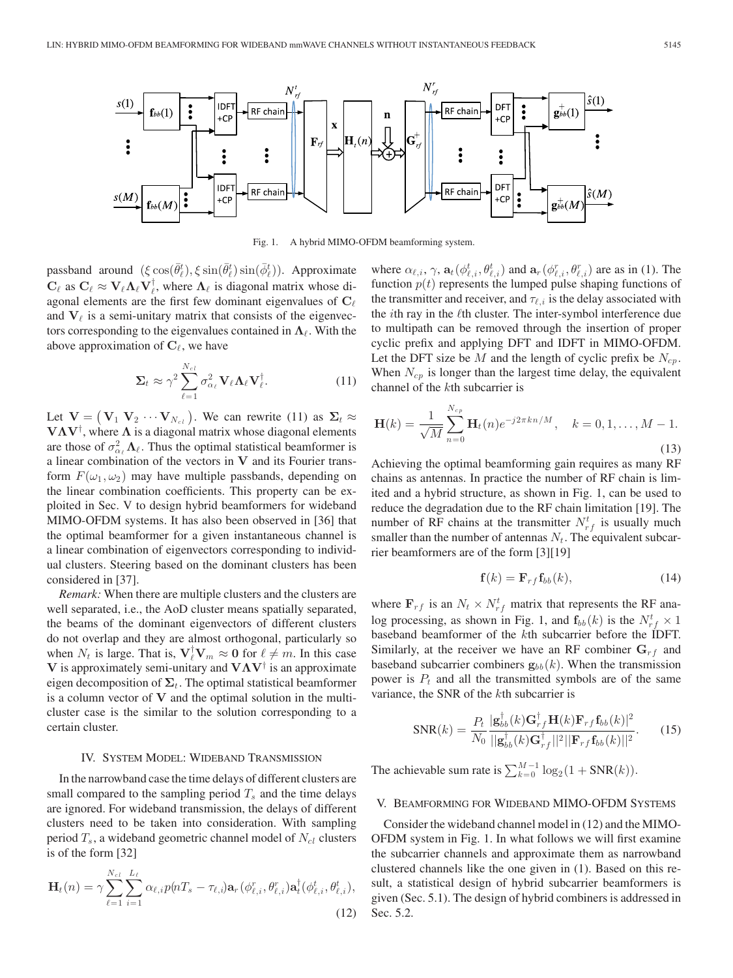

Fig. 1. A hybrid MIMO-OFDM beamforming system.

passband around  $(\xi \cos(\bar{\theta}_t^t), \xi \sin(\bar{\theta}_t^t) \sin(\bar{\phi}_t^t))$ . Approximate  $\mathbf{C}_{\ell}$  as  $\mathbf{C}_{\ell} \approx \mathbf{V}_{\ell} \mathbf{\Lambda}_{\ell} \mathbf{V}_{\ell}^{\dagger}$ , where  $\mathbf{\Lambda}_{\ell}$  is diagonal matrix whose diagonal elements are the first few dominant eigenvalues of  $C_{\ell}$ and  $V_{\ell}$  is a semi-unitary matrix that consists of the eigenvectors corresponding to the eigenvalues contained in  $\Lambda_{\ell}$ . With the above approximation of  $C_{\ell}$ , we have

$$
\Sigma_t \approx \gamma^2 \sum_{\ell=1}^{N_{cl}} \sigma_{\alpha_{\ell}}^2 \mathbf{V}_{\ell} \Lambda_{\ell} \mathbf{V}_{\ell}^{\dagger}.
$$
 (11)

Let  $V = (V_1 \ V_2 \cdots V_{N_{c_l}})$ . We can rewrite (11) as  $\Sigma_t \approx$ <br>**VAV**<sup>†</sup> where A is a diagonal matrix whose diagonal elements **VΛV**<sup>†</sup>, where **Λ** is a diagonal matrix whose diagonal elements are those of  $\sigma^2$ , **Λ**. Thus the optimal statistical beamformer is are those of  $\sigma_{\alpha_{\ell}}^2 \Lambda_{\ell}$ . Thus the optimal statistical beamformer is<br>a linear combination of the vectors in **V** and its Fourier transa linear combination of the vectors in **V** and its Fourier transform  $F(\omega_1, \omega_2)$  may have multiple passbands, depending on the linear combination coefficients. This property can be exploited in Sec. V to design hybrid beamformers for wideband MIMO-OFDM systems. It has also been observed in [36] that the optimal beamformer for a given instantaneous channel is a linear combination of eigenvectors corresponding to individual clusters. Steering based on the dominant clusters has been considered in [37].

*Remark:* When there are multiple clusters and the clusters are well separated, i.e., the AoD cluster means spatially separated, the beams of the dominant eigenvectors of different clusters do not overlap and they are almost orthogonal, particularly so when  $N_t$  is large. That is,  $\mathbf{V}_\ell^{\dagger} \mathbf{V}_m \approx \mathbf{0}$  for  $\ell \neq m$ . In this case  $\mathbf{V}$  is anonroximately semi-unitary and  $\mathbf{V} \mathbf{A} \mathbf{V}^{\dagger}$  is an approximate **V** is approximately semi-unitary and **VΛV**† is an approximate eigen decomposition of  $\Sigma_t$ . The optimal statistical beamformer is a column vector of **V** and the optimal solution in the multicluster case is the similar to the solution corresponding to a certain cluster.

#### IV. SYSTEM MODEL: WIDEBAND TRANSMISSION

In the narrowband case the time delays of different clusters are small compared to the sampling period  $T_s$  and the time delays are ignored. For wideband transmission, the delays of different clusters need to be taken into consideration. With sampling period  $T_s$ , a wideband geometric channel model of  $N_{cl}$  clusters is of the form [32]

$$
\mathbf{H}_t(n) = \gamma \sum_{\ell=1}^{N_{cl}} \sum_{i=1}^{L_{\ell}} \alpha_{\ell,i} p(nT_s - \tau_{\ell,i}) \mathbf{a}_r(\phi_{\ell,i}^r, \theta_{\ell,i}^r) \mathbf{a}_t^{\dagger}(\phi_{\ell,i}^t, \theta_{\ell,i}^t),
$$
\n(12)

where  $\alpha_{\ell,i}$ ,  $\gamma$ ,  $\mathbf{a}_t(\phi_{\ell,i}^t, \theta_{\ell,i}^t)$  and  $\mathbf{a}_r(\phi_{\ell,i}^r, \theta_{\ell,i}^r)$  are as in (1). The function  $n(t)$  represents the lumped pulse shaping functions of function  $p(t)$  represents the lumped pulse shaping functions of the transmitter and receiver, and  $\tau_{\ell,i}$  is the delay associated with the  $i$ th ray in the  $\ell$ th cluster. The inter-symbol interference due to multipath can be removed through the insertion of proper cyclic prefix and applying DFT and IDFT in MIMO-OFDM. Let the DFT size be  $M$  and the length of cyclic prefix be  $N_{cp}$ . When  $N_{cp}$  is longer than the largest time delay, the equivalent channel of the kth subcarrier is

$$
\mathbf{H}(k) = \frac{1}{\sqrt{M}} \sum_{n=0}^{N_{cp}} \mathbf{H}_t(n) e^{-j2\pi k n/M}, \quad k = 0, 1, ..., M - 1.
$$
\n(13)

Achieving the optimal beamforming gain requires as many RF chains as antennas. In practice the number of RF chain is limited and a hybrid structure, as shown in Fig. 1, can be used to reduce the degradation due to the RF chain limitation [19]. The number of RF chains at the transmitter  $N_{rf}^{t}$  is usually much smaller than the number of antennas  $N_t$ . The equivalent subcarrier beamformers are of the form [3][19]

$$
\mathbf{f}(k) = \mathbf{F}_{rf} \mathbf{f}_{bb}(k),\tag{14}
$$

where  $\mathbf{F}_{rf}$  is an  $N_t \times N_{rf}^t$  matrix that represents the RF ana-<br>leg processing, as shown in Fig. 1, and  $\mathbf{f}_t$  (b) is the  $N_t^t \times 1$ log processing, as shown in Fig. 1, and  $\mathbf{f}_{bb}(k)$  is the  $N_{rf}^t \times 1$ <br>baseband beamformer of the *k*th subcarrier before the IDET baseband beamformer of the kth subcarrier before the IDFT. Similarly, at the receiver we have an RF combiner  $G_{rf}$  and baseband subcarrier combiners  $\mathbf{g}_{bb}(k)$ . When the transmission power is  $P_t$  and all the transmitted symbols are of the same variance, the SNR of the kth subcarrier is

$$
SNR(k) = \frac{P_t}{N_0} \frac{|\mathbf{g}_{bb}^{\dagger}(k)\mathbf{G}_{rf}^{\dagger}\mathbf{H}(k)\mathbf{F}_{rf}\mathbf{f}_{bb}(k)|^2}{\|\mathbf{g}_{bb}^{\dagger}(k)\mathbf{G}_{rf}^{\dagger}\|^{2}\|\mathbf{F}_{rf}\mathbf{f}_{bb}(k)\|^{2}}.
$$
 (15)

The achievable sum rate is  $\sum_{k=0}^{M-1} \log_2(1 + \text{SNR}(k)).$ 

## V. BEAMFORMING FOR WIDEBAND MIMO-OFDM SYSTEMS

Consider the wideband channel model in (12) and the MIMO-OFDM system in Fig. 1. In what follows we will first examine the subcarrier channels and approximate them as narrowband clustered channels like the one given in (1). Based on this result, a statistical design of hybrid subcarrier beamformers is given (Sec. 5.1). The design of hybrid combiners is addressed in Sec. 5.2.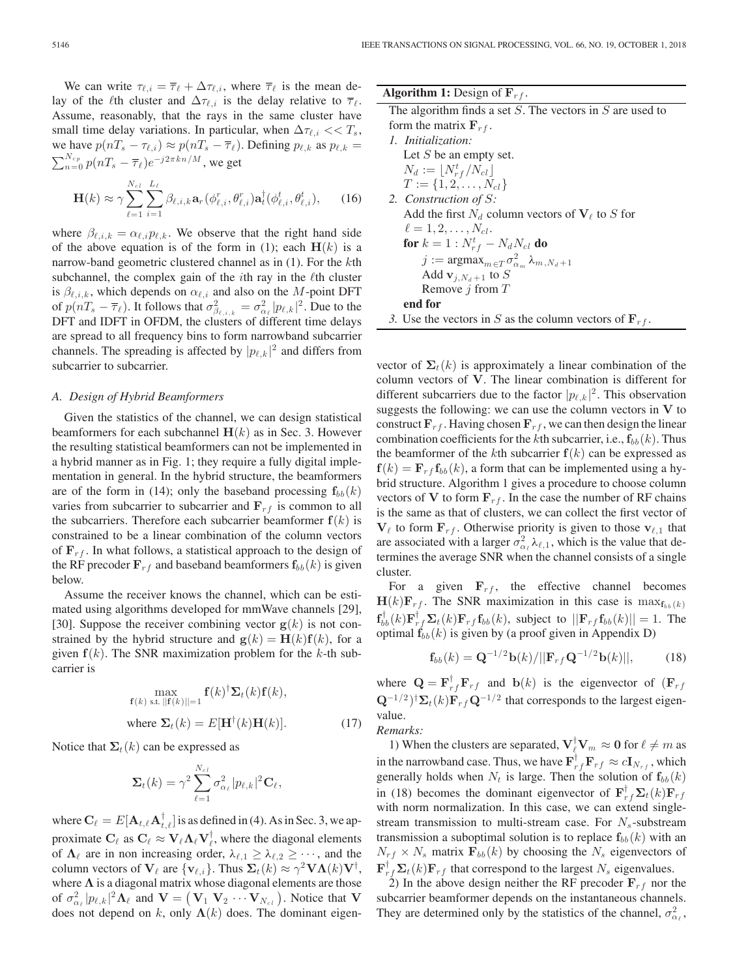We can write  $\tau_{\ell,i} = \overline{\tau}_{\ell} + \Delta \tau_{\ell,i}$ , where  $\overline{\tau}_{\ell}$  is the mean delay of the  $\ell$ th cluster and  $\Delta \tau_{\ell,i}$  is the delay relative to  $\bar{\tau}_{\ell}$ . Assume, reasonably, that the rays in the same cluster have small time delay variations. In particular, when  $\Delta \tau_{\ell,i} << T_s$ , we have  $p(nT_s - \tau_{\ell,i}) \approx p(nT_s - \overline{\tau}_{\ell}).$  Defining  $p_{\ell,k}$  as  $p_{\ell,k} =$  $\sum_{n=0}^{N_{cp}} p(nT_s - \overline{\tau}_{\ell})e^{-j2\pi kn/M}$ , we get

$$
\mathbf{H}(k) \approx \gamma \sum_{\ell=1}^{N_{cl}} \sum_{i=1}^{L_{\ell}} \beta_{\ell,i,k} \mathbf{a}_{r} (\phi_{\ell,i}^{r}, \theta_{\ell,i}^{r}) \mathbf{a}_{t}^{\dagger} (\phi_{\ell,i}^{t}, \theta_{\ell,i}^{t}), \qquad (16)
$$

where  $\beta_{\ell,i,k} = \alpha_{\ell,i} p_{\ell,k}$ . We observe that the right hand side of the above equation is of the form in (1); each  $H(k)$  is a narrow-band geometric clustered channel as in (1). For the kth subchannel, the complex gain of the  $i$ th ray in the  $\ell$ th cluster is  $\beta_{\ell,i,k}$ , which depends on  $\alpha_{\ell,i}$  and also on the M-point DFT of  $p(nT_s - \overline{\tau}_{\ell})$ . It follows that  $\sigma^2_{\beta_{\ell,i,k}} = \sigma^2_{\alpha_{\ell}} |p_{\ell,k}|^2$ . Due to the DIFT and IDET in OFDM, the clusters of different time delays DFT and IDFT in OFDM, the clusters of different time delays are spread to all frequency bins to form narrowband subcarrier channels. The spreading is affected by  $|p_{\ell,k}|^2$  and differs from subcarrier to subcarrier.

#### *A. Design of Hybrid Beamformers*

Given the statistics of the channel, we can design statistical beamformers for each subchannel  $H(k)$  as in Sec. 3. However the resulting statistical beamformers can not be implemented in a hybrid manner as in Fig. 1; they require a fully digital implementation in general. In the hybrid structure, the beamformers are of the form in (14); only the baseband processing  $f_{bb}(k)$ varies from subcarrier to subcarrier and  $\mathbf{F}_{rf}$  is common to all the subcarriers. Therefore each subcarrier beamformer  $f(k)$  is constrained to be a linear combination of the column vectors of  $\mathbf{F}_{rf}$ . In what follows, a statistical approach to the design of the RF precoder  $\mathbf{F}_{rf}$  and baseband beamformers  $\mathbf{f}_{bb}(k)$  is given below.

Assume the receiver knows the channel, which can be estimated using algorithms developed for mmWave channels [29], [30]. Suppose the receiver combining vector  $g(k)$  is not constrained by the hybrid structure and  $\mathbf{g}(k) = \mathbf{H}(k)\mathbf{f}(k)$ , for a given  $f(k)$ . The SNR maximization problem for the  $k$ -th subcarrier is

$$
\max_{\mathbf{f}(k) \text{ s.t. } ||\mathbf{f}(k)||=1} \mathbf{f}(k)^{\dagger} \mathbf{\Sigma}_{t}(k) \mathbf{f}(k),
$$
\nwhere  $\mathbf{\Sigma}_{t}(k) = E[\mathbf{H}^{\dagger}(k)\mathbf{H}(k)].$  (17)

Notice that  $\Sigma_t(k)$  can be expressed as

$$
\mathbf{\Sigma}_{t}(k)=\gamma^2\sum_{\ell=1}^{N_{cl}}\sigma_{\alpha_{\ell}}^2|p_{\ell,k}|^2\mathbf{C}_{\ell},
$$

where  $\mathbf{C}_{\ell} = E[\mathbf{A}_{t,\ell} \mathbf{A}_{t,\ell}^{\dagger}]$  is as defined in (4). As in Sec. 3, we approximate  $\mathbf{C}_{\ell}$  as  $\mathbf{C}_{\ell} \approx \mathbf{V}_{\ell} \mathbf{\Lambda}_{\ell} \mathbf{V}_{\ell}^{\dagger}$ , where the diagonal elements of  $\mathbf{\Lambda}_{\ell}$  are in non-increasing order  $\lambda_{\ell} \geq \lambda_{\ell} \geq \lambda_{\ell}$ , and the of  $\Lambda_{\ell}$  are in non increasing order,  $\lambda_{\ell,1} \geq \lambda_{\ell,2} \geq \cdots$ , and the column vectors of  $\mathbf{V}_{\ell}$  are  $\{ \mathbf{v}_{\ell,i} \}$ . Thus  $\mathbf{\Sigma}_{t}(k) \approx \gamma^2 \mathbf{V} \mathbf{\Lambda}(k) \mathbf{V}^{\dagger}$ , where  $\Lambda$  is a diagonal matrix whose diagonal elements are those where  $\Lambda$  is a diagonal matrix whose diagonal elements are those of  $\sigma_{\alpha_{\ell}}^2 |p_{\ell,k}|^2 \Lambda_{\ell}$  and  $\mathbf{V} = (\mathbf{V}_1 \mathbf{V}_2 \cdots \mathbf{V}_{N_{\ell}})$ . Notice that **V** does not depend on k only  $\Lambda(k)$  does. The dominant eigendoes not depend on k, only  $\Lambda(k)$  does. The dominant eigen-

| <b>Algorithm 1:</b> Design of $\mathbf{F}_{rf}$ .                       |
|-------------------------------------------------------------------------|
| The algorithm finds a set $S$ . The vectors in $S$ are used to          |
| form the matrix $F_{rf}$ .                                              |
| 1. Initialization:                                                      |
| Let $S$ be an empty set.                                                |
| $N_d := \lfloor N_{rf}^t / N_{cl} \rfloor$                              |
| $T := \{1, 2, \ldots, N_{cl}\}\$                                        |
| 2. Construction of S:                                                   |
| Add the first $N_d$ column vectors of $V_\ell$ to S for                 |
| $\ell = 1, 2, \ldots, N_{cl}$ .                                         |
| <b>for</b> $k = 1 : N_{rf}^t - N_d N_{cl}$ <b>do</b>                    |
| $j := \text{argmax}_{m \in T} \sigma_{\alpha_m}^2 \lambda_{m, N_d + 1}$ |
| Add $\mathbf{v}_{j,N_d+1}$ to S                                         |
| Remove $j$ from $T$                                                     |
| end for                                                                 |
| 3. Use the vectors in S as the column vectors of $\mathbf{F}_{rf}$ .    |
|                                                                         |

vector of  $\Sigma_t(k)$  is approximately a linear combination of the column vectors of **V**. The linear combination is different for different subcarriers due to the factor  $|p_{\ell,k}|^2$ . This observation suggests the following: we can use the column vectors in **V** to construct  $\mathbf{F}_{rf}$ . Having chosen  $\mathbf{F}_{rf}$ , we can then design the linear combination coefficients for the kth subcarrier, i.e.,  $\mathbf{f}_{bb}(k)$ . Thus the beamformer of the kth subcarrier  $f(k)$  can be expressed as  $f(k) = \mathbf{F}_{rf} \mathbf{f}_{bb}(k)$ , a form that can be implemented using a hybrid structure. Algorithm 1 gives a procedure to choose column vectors of **V** to form  $\mathbf{F}_{rf}$ . In the case the number of RF chains is the same as that of clusters, we can collect the first vector of  $\mathbf{V}_{\ell}$  to form  $\mathbf{F}_{rf}$ . Otherwise priority is given to those  $\mathbf{v}_{\ell,1}$  that are associated with a larger  $\sigma_{\alpha}^2 \lambda_{\ell,1}$ , which is the value that de-<br>tarmings the suggest SND what the shaped equation of a simple termines the average SNR when the channel consists of a single cluster.

For a given  $\mathbf{F}_{rf}$ , the effective channel becomes  $\mathbf{H}(k)\mathbf{F}_{rf}$ . The SNR maximization in this case is  $\max_{\mathbf{f}_{bb}(k)}$ **f**optimal  $\mathbf{f}_{bb}(k)$  is given by (a proof given in Appendix D)  $\int_{bb}^{\dagger} k(k) \mathbf{F}_{rf}^{\dagger} \mathbf{\Sigma}_t(k) \mathbf{F}_{rf} \mathbf{f}_{bb}(k)$ , subject to  $||\mathbf{F}_{rf} \mathbf{f}_{bb}(k)|| = 1$ . The primal  $\mathbf{f}_{1,t}(k)$  is given by (a proof given in Appendix D)

$$
\mathbf{f}_{bb}(k) = \mathbf{Q}^{-1/2} \mathbf{b}(k) / ||\mathbf{F}_{rf} \mathbf{Q}^{-1/2} \mathbf{b}(k)||, \qquad (18)
$$

where  $\mathbf{Q} = \mathbf{F}_{rf}^{\dagger} \mathbf{F}_{rf}$  and  $\mathbf{b}(k)$  is the eigenvector of  $(\mathbf{F}_{rf} - \mathbf{C}^{-1/2})$  $\mathbf{Q}^{-1/2}$ <sup>†</sup> $\mathbf{\Sigma}_t(k) \mathbf{F}_{rf} \mathbf{Q}^{-1/2}$  that corresponds to the largest eigenvalue.

*Remarks:*

1) When the clusters are separated,  $\mathbf{V}_{\ell}^{\dagger} \mathbf{V}_{m} \approx \mathbf{0}$  for  $\ell \neq m$  as in the narrowband case. Thus, we have  $\mathbf{F}_{rf}^{\dagger} \mathbf{F}_{rf} \approx c \mathbf{I}_{N_{rf}}$ , which<br>generally holds when  $N_{r}$  is large. Then the solution of  $\mathbf{f}_{r}(k)$ generally holds when  $N_t$  is large. Then the solution of  $f_{bb}(k)$ in (18) becomes the dominant eigenvector of  $\mathbf{F}_{rf}^{\dagger} \mathbf{\Sigma}_t(k) \mathbf{F}_{rf}$ <br>with norm normalization. In this case, we can extend single with norm normalization. In this case, we can extend singlestream transmission to multi-stream case. For  $N_s$ -substream transmission a suboptimal solution is to replace  $f_{bb}(k)$  with an  $N_{rf} \times N_s$  matrix  $\mathbf{F}_{bb}(k)$  by choosing the  $N_s$  eigenvectors of  $\mathbf{F}_{rf}^{\dagger} \mathbf{\Sigma}_{t}(k) \mathbf{F}_{rf}$  that correspond to the largest  $N_s$  eigenvalues.<br>2) In the above design neither the RE precoder **E** s nor t

2) In the above design neither the RF precoder  $\mathbf{F}_{rf}$  nor the subcarrier beamformer depends on the instantaneous channels. They are determined only by the statistics of the channel,  $\sigma_{\alpha_{\ell}}^2$ ,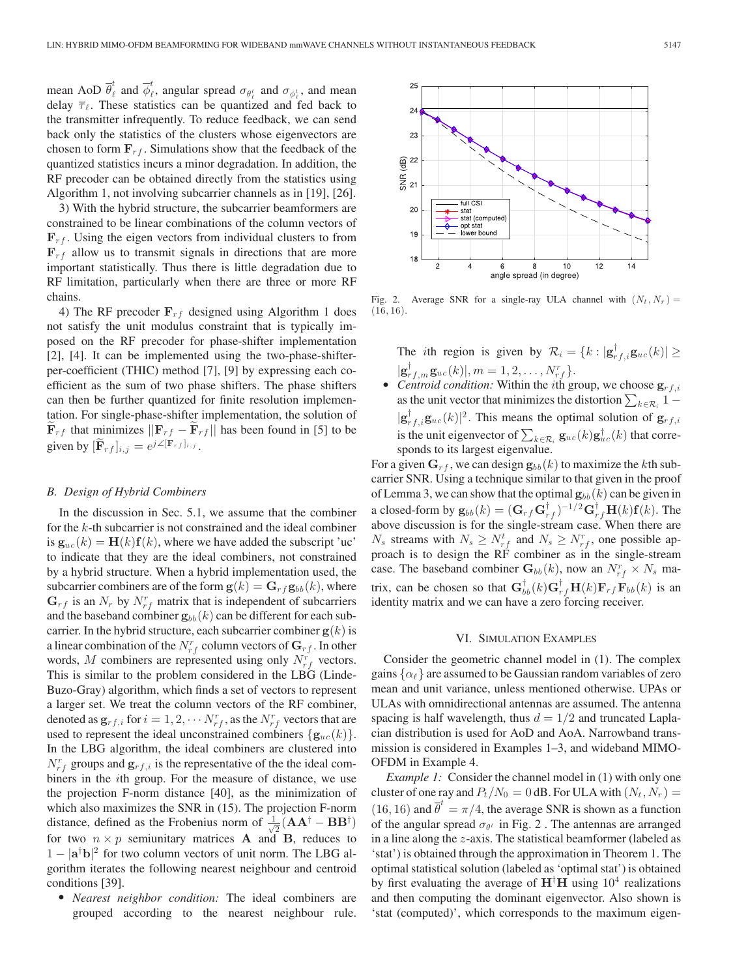mean AoD  $\overline{\theta}^t_{\ell}$  and  $\overline{\phi}^t_{\ell}$ , angular spread  $\sigma_{\theta^t_{\ell}}$  and  $\sigma_{\phi^t_{\ell}}$ , and mean delay  $\overline{\tau}_{\ell}$ . These statistics can be quantized and fed back to the transmitter infrequently. To reduce feedback, we can send back only the statistics of the clusters whose eigenvectors are chosen to form  $\mathbf{F}_{rf}$ . Simulations show that the feedback of the quantized statistics incurs a minor degradation. In addition, the RF precoder can be obtained directly from the statistics using Algorithm 1, not involving subcarrier channels as in [19], [26].

3) With the hybrid structure, the subcarrier beamformers are constrained to be linear combinations of the column vectors of  $\mathbf{F}_{rf}$ . Using the eigen vectors from individual clusters to from  $\mathbf{F}_{rf}$  allow us to transmit signals in directions that are more important statistically. Thus there is little degradation due to RF limitation, particularly when there are three or more RF chains.

4) The RF precoder  $\mathbf{F}_{rf}$  designed using Algorithm 1 does not satisfy the unit modulus constraint that is typically imposed on the RF precoder for phase-shifter implementation [2], [4]. It can be implemented using the two-phase-shifterper-coefficient (THIC) method [7], [9] by expressing each coefficient as the sum of two phase shifters. The phase shifters can then be further quantized for finite resolution implementation. For single-phase-shifter implementation, the solution of  $\mathbf{F}_{rf}$  that minimizes  $||\mathbf{F}_{rf} - \mathbf{F}_{rf}||$  has been found in [5] to be given by  $[\widetilde{\mathbf{F}}_{rf}]_{i,j} = e^{j\angle[\mathbf{F}_{rf}]_{i,j}}$ .

#### *B. Design of Hybrid Combiners*

In the discussion in Sec. 5.1, we assume that the combiner for the k-th subcarrier is not constrained and the ideal combiner is  $\mathbf{g}_{uc}(k) = \mathbf{H}(k)\mathbf{f}(k)$ , where we have added the subscript 'uc' to indicate that they are the ideal combiners, not constrained by a hybrid structure. When a hybrid implementation used, the subcarrier combiners are of the form  $\mathbf{g}(k) = \mathbf{G}_{rf} \mathbf{g}_{bb}(k)$ , where  $\mathbf{G}_{rf}$  is an  $N_r$  by  $N_{rf}^r$  matrix that is independent of subcarriers<br>and the baseband combiner  $\mathbf{g}_{rr}(k)$  can be different for each suband the baseband combiner  $\mathbf{g}_{bb}(k)$  can be different for each subcarrier. In the hybrid structure, each subcarrier combiner  $g(k)$  is a linear combination of the  $N_{rf}^r$  column vectors of  $G_{rf}$ . In other words  $M$  combiners are represented using only  $N^r$ , vectors words, M combiners are represented using only  $N_{rf}^r$  vectors. This is similar to the problem considered in the LBG (Linde-Buzo-Gray) algorithm, which finds a set of vectors to represent a larger set. We treat the column vectors of the RF combiner, denoted as  $\mathbf{g}_{rf,i}$  for  $i = 1, 2, \cdots N_{rf}^r$ , as the  $N_{rf}^r$  vectors that are used to represent the ideal unconstrained combiners  $\{g_{uc}(k)\}.$ In the LBG algorithm, the ideal combiners are clustered into  $N_{rf}^r$  groups and  $\mathbf{g}_{rf,i}$  is the representative of the the ideal com-<br>hiners in the *i*th group. For the measure of distance, we use biners in the ith group. For the measure of distance, we use the projection F-norm distance [40], as the minimization of which also maximizes the SNR in (15). The projection F-norm distance, defined as the Frobenius norm of  $\frac{1}{\sqrt{2}}(AA^{\dagger} - BB^{\dagger})$ <br>for two  $n \times n$  semiunitary matrices **A** and **B** reduces to for two  $n \times p$  semiunitary matrices **A** and **B**, reduces to  $1 - |\mathbf{a}^{\dagger} \mathbf{b}|^2$  for two column vectors of unit norm. The LBG al- $1 - |\mathbf{a}^{\dagger} \mathbf{b}|^2$  for two column vectors of unit norm. The LBG algorithm iterates the following negrest neighbour and centroid gorithm iterates the following nearest neighbour and centroid conditions [39].

- *Nearest neighbor condition:* The ideal combiners are grouped according to the nearest neighbour rule.



Fig. 2. Average SNR for a single-ray ULA channel with  $(N_t, N_r)$  =  $(16, 16)$ .

The *i*th region is given by  $\mathcal{R}_i = \{k : |\mathbf{g}_{rf,i}^{\dagger} \mathbf{g}_{uc}(k)| \geq$ 

 $|\mathbf{g}_{rf,m}^{\dagger} \mathbf{g}_{uc}(k)|, m = 1, 2, ..., N_{rf}^r$ .<br>Centroid condition: Within the *i*th gr • *Centroid condition:* Within the *i*th group, we choose  $\mathbf{g}_{rf,i}$ as the unit vector that minimizes the distortion  $\sum_{k \in \mathcal{R}_i} 1 |\mathbf{g}_{rf,f,i}^{\dagger} \mathbf{g}_{uc}(k)|^2$ . This means the optimal solution of  $\mathbf{g}_{rf,i}$ is the unit eigenvector of  $\sum_{k \in \mathcal{R}_i} \mathbf{g}_{uc}(k) \mathbf{g}_{uc}^{\dagger}(k)$  that corresponds to its largest eigenvalue.

For a given  $G_{rf}$ , we can design  $g_{bb}(k)$  to maximize the kth subcarrier SNR. Using a technique similar to that given in the proof of Lemma 3, we can show that the optimal  $\mathbf{g}_{bb}(k)$  can be given in a closed-form by  $\mathbf{g}_{bb}(k) = (\mathbf{G}_{rf} \mathbf{G}_{rf}^{\dagger})^{-1/2} \mathbf{G}_{rf}^{\dagger} \mathbf{H}(k) \mathbf{f}(k)$ . The above discussion is for the single-stream case. When there are  $N_s$  streams with  $N_s \geq N_{rf}^t$  and  $N_s \geq N_{rf}^r$ , one possible approach is to design the RF combiner as in the single-stream case. The baseband combiner  $\mathbf{G}_{bb}(k)$ , now an  $N_{rf}^r \times N_s$  matrix, can be chosen so that  $\mathbf{G}_{b}^{\dagger} (k) \mathbf{G}_{r}^{\dagger} \mathbf{H} (k) \mathbf{F}_{rf} \mathbf{F}_{bb} (k)$  is an identity matrix and we can have a zero forcing receiver identity matrix and we can have a zero forcing receiver.

## VI. SIMULATION EXAMPLES

Consider the geometric channel model in (1). The complex gains  $\{\alpha_\ell\}$  are assumed to be Gaussian random variables of zero mean and unit variance, unless mentioned otherwise. UPAs or ULAs with omnidirectional antennas are assumed. The antenna spacing is half wavelength, thus  $d = 1/2$  and truncated Laplacian distribution is used for AoD and AoA. Narrowband transmission is considered in Examples 1–3, and wideband MIMO-OFDM in Example 4.

*Example 1:* Consider the channel model in (1) with only one cluster of one ray and  $P_t/N_0 = 0$  dB. For ULA with  $(N_t, N_r) =$ (16, 16) and  $\overline{\theta}^t = \pi/4$ , the average SNR is shown as a function<br>of the angular spread  $\sigma_{0i}$  in Fig. 2. The antennas are arranged of the angular spread  $\sigma_{\theta^t}$  in Fig. 2. The antennas are arranged in a line along the z-axis. The statistical beamformer (labeled as 'stat') is obtained through the approximation in Theorem 1. The optimal statistical solution (labeled as 'optimal stat') is obtained by first evaluating the average of  $H^{\dagger}H$  using  $10^4$  realizations and then computing the dominant eigenvector. Also shown is and then computing the dominant eigenvector. Also shown is 'stat (computed)', which corresponds to the maximum eigen-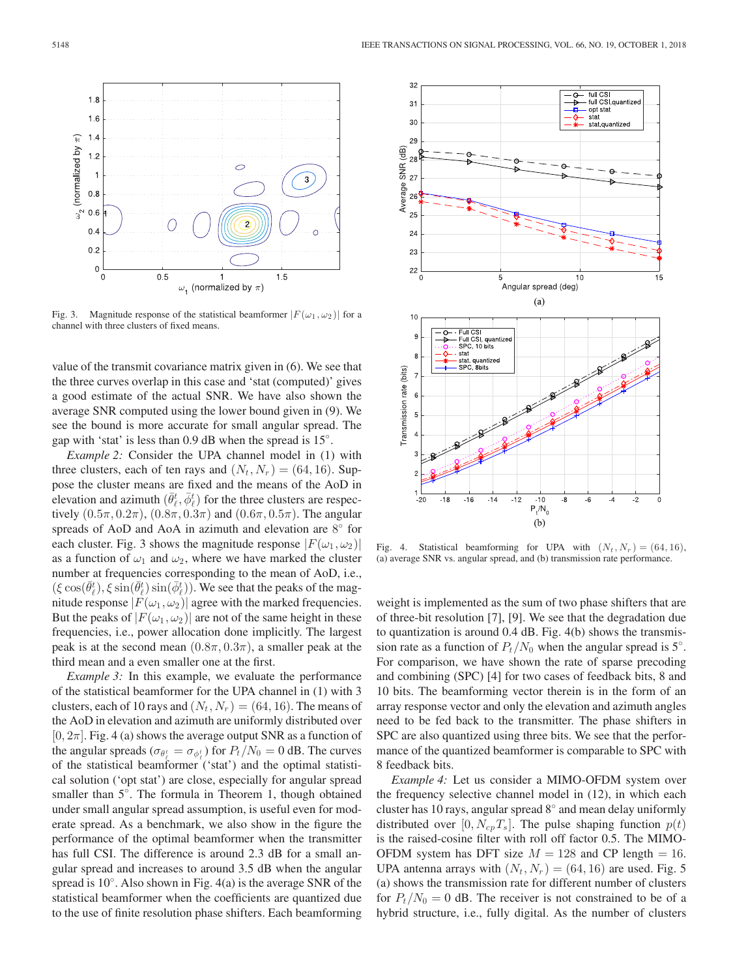

Fig. 3. Magnitude response of the statistical beamformer  $|F(\omega_1, \omega_2)|$  for a channel with three clusters of fixed means.

value of the transmit covariance matrix given in (6). We see that the three curves overlap in this case and 'stat (computed)' gives a good estimate of the actual SNR. We have also shown the average SNR computed using the lower bound given in (9). We see the bound is more accurate for small angular spread. The gap with 'stat' is less than  $0.9$  dB when the spread is  $15^\circ$ .

*Example 2:* Consider the UPA channel model in (1) with three clusters, each of ten rays and  $(N_t, N_r) = (64, 16)$ . Suppose the cluster means are fixed and the means of the AoD in elevation and azimuth  $(\bar{\theta}_\ell^t, \bar{\phi}_\ell^t)$  for the three clusters are respectively  $(0.5\pi, 0.2\pi)$  ( $0.8\pi, 0.3\pi$ ) and  $(0.6\pi, 0.5\pi)$ . The angular tively  $(0.5\pi, 0.2\pi)$ ,  $(0.8\pi, 0.3\pi)$  and  $(0.6\pi, 0.5\pi)$ . The angular spreads of AoD and AoA in azimuth and elevation are 8° for each cluster. Fig. 3 shows the magnitude response  $|F(\omega_1, \omega_2)|$ as a function of  $\omega_1$  and  $\omega_2$ , where we have marked the cluster number at frequencies corresponding to the mean of AoD, i.e.,  $(\xi \cos(\bar{\theta}_{\ell}^{t}), \xi \sin(\bar{\theta}_{\ell}^{t})) \sin(\bar{\phi}_{\ell}^{t}))$ . We see that the peaks of the mag-<br>nitude response  $|F(\omega_{t} - \omega_{t})|$  agree with the marked frequencies nitude response  $|F(\omega_1, \omega_2)|$  agree with the marked frequencies. But the peaks of  $|F(\omega_1, \omega_2)|$  are not of the same height in these frequencies, i.e., power allocation done implicitly. The largest peak is at the second mean  $(0.8\pi, 0.3\pi)$ , a smaller peak at the third mean and a even smaller one at the first.

*Example 3:* In this example, we evaluate the performance of the statistical beamformer for the UPA channel in (1) with 3 clusters, each of 10 rays and  $(N_t, N_r) = (64, 16)$ . The means of the AoD in elevation and azimuth are uniformly distributed over  $[0, 2\pi]$ . Fig. 4 (a) shows the average output SNR as a function of the angular spreads  $(\sigma_{\theta_t^t} = \sigma_{\phi_t^t})$  for  $P_t/N_0 = 0$  dB. The curves<br>of the statistical beamformer ('stat') and the optimal statistic of the statistical beamformer ('stat') and the optimal statistical solution ('opt stat') are close, especially for angular spread smaller than 5°. The formula in Theorem 1, though obtained under small angular spread assumption, is useful even for moderate spread. As a benchmark, we also show in the figure the performance of the optimal beamformer when the transmitter has full CSI. The difference is around 2.3 dB for a small angular spread and increases to around 3.5 dB when the angular spread is 10°. Also shown in Fig. 4(a) is the average SNR of the statistical beamformer when the coefficients are quantized due to the use of finite resolution phase shifters. Each beamforming



Fig. 4. Statistical beamforming for UPA with  $(N_t, N_r) = (64, 16)$ , (a) average SNR vs. angular spread, and (b) transmission rate performance.

weight is implemented as the sum of two phase shifters that are of three-bit resolution [7], [9]. We see that the degradation due to quantization is around 0.4 dB. Fig. 4(b) shows the transmission rate as a function of  $P_t/N_0$  when the angular spread is  $5^\circ$ .<br>For comparison, we have above the rate of groups preseding For comparison, we have shown the rate of sparse precoding and combining (SPC) [4] for two cases of feedback bits, 8 and 10 bits. The beamforming vector therein is in the form of an array response vector and only the elevation and azimuth angles need to be fed back to the transmitter. The phase shifters in SPC are also quantized using three bits. We see that the performance of the quantized beamformer is comparable to SPC with 8 feedback bits.

*Example 4:* Let us consider a MIMO-OFDM system over the frequency selective channel model in (12), in which each cluster has 10 rays, angular spread 8◦ and mean delay uniformly distributed over [0,  $N_{cn}T_s$ ]. The pulse shaping function  $p(t)$ is the raised-cosine filter with roll off factor 0.5. The MIMO-OFDM system has DFT size  $M = 128$  and CP length = 16. UPA antenna arrays with  $(N_t, N_r) = (64, 16)$  are used. Fig. 5 (a) shows the transmission rate for different number of clusters for  $P_t/N_0 = 0$  dB. The receiver is not constrained to be of a hybrid structure, i.e., fully digital. As the number of clusters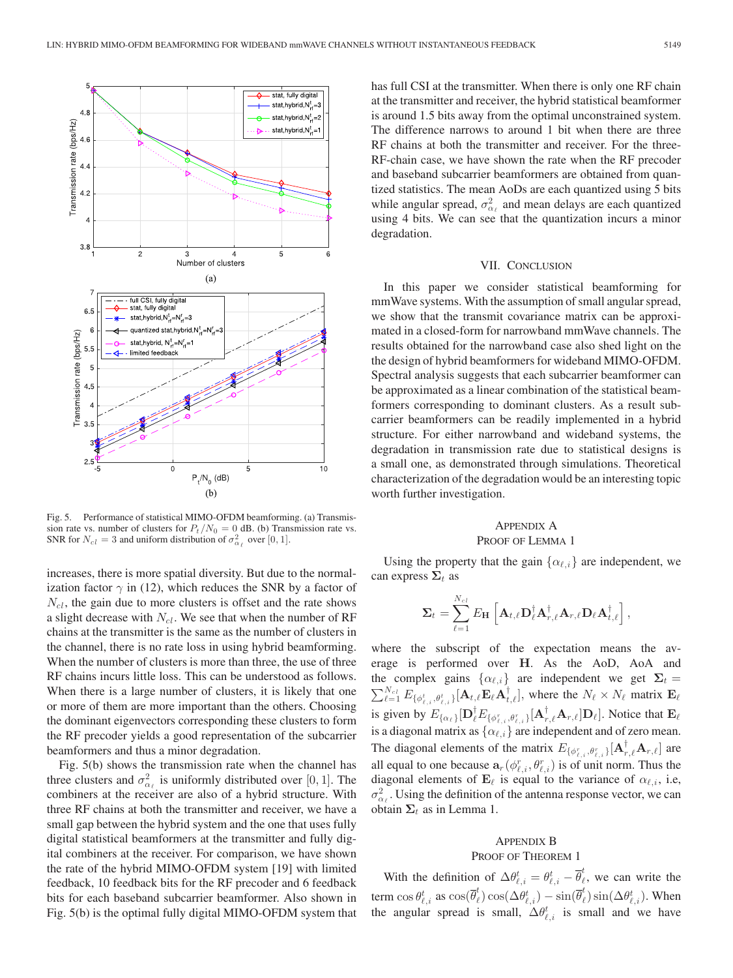

Fig. 5. Performance of statistical MIMO-OFDM beamforming. (a) Transmission rate vs. number of clusters for  $P_t / N_0 = 0$  dB. (b) Transmission rate vs.<br>SNR for  $N_t = 3$  and uniform distribution of  $\sigma^2$  over [0, 1] SNR for  $N_{cl} = 3$  and uniform distribution of  $\sigma_{\alpha_{\ell}}^2$  over [0, 1].

increases, there is more spatial diversity. But due to the normalization factor  $\gamma$  in (12), which reduces the SNR by a factor of  $N<sub>cl</sub>$ , the gain due to more clusters is offset and the rate shows a slight decrease with  $N_{cl}$ . We see that when the number of RF chains at the transmitter is the same as the number of clusters in the channel, there is no rate loss in using hybrid beamforming. When the number of clusters is more than three, the use of three RF chains incurs little loss. This can be understood as follows. When there is a large number of clusters, it is likely that one or more of them are more important than the others. Choosing the dominant eigenvectors corresponding these clusters to form the RF precoder yields a good representation of the subcarrier beamformers and thus a minor degradation.

Fig. 5(b) shows the transmission rate when the channel has three clusters and  $\sigma_{\alpha_{\ell}}^2$  is uniformly distributed over [0, 1]. The combiners at the receiver are also of a hybrid structure. With combiners at the receiver are also of a hybrid structure. With three RF chains at both the transmitter and receiver, we have a small gap between the hybrid system and the one that uses fully digital statistical beamformers at the transmitter and fully digital combiners at the receiver. For comparison, we have shown the rate of the hybrid MIMO-OFDM system [19] with limited feedback, 10 feedback bits for the RF precoder and 6 feedback bits for each baseband subcarrier beamformer. Also shown in Fig. 5(b) is the optimal fully digital MIMO-OFDM system that has full CSI at the transmitter. When there is only one RF chain at the transmitter and receiver, the hybrid statistical beamformer is around 1.5 bits away from the optimal unconstrained system. The difference narrows to around 1 bit when there are three RF chains at both the transmitter and receiver. For the three-RF-chain case, we have shown the rate when the RF precoder and baseband subcarrier beamformers are obtained from quantized statistics. The mean AoDs are each quantized using 5 bits while angular spread,  $\sigma_{\alpha_{\ell}}^2$  and mean delays are each quantized using 4 bits. We can see that the quantization incurs a minor degradation.

# VII. CONCLUSION

In this paper we consider statistical beamforming for mmWave systems. With the assumption of small angular spread, we show that the transmit covariance matrix can be approximated in a closed-form for narrowband mmWave channels. The results obtained for the narrowband case also shed light on the the design of hybrid beamformers for wideband MIMO-OFDM. Spectral analysis suggests that each subcarrier beamformer can be approximated as a linear combination of the statistical beamformers corresponding to dominant clusters. As a result subcarrier beamformers can be readily implemented in a hybrid structure. For either narrowband and wideband systems, the degradation in transmission rate due to statistical designs is a small one, as demonstrated through simulations. Theoretical characterization of the degradation would be an interesting topic worth further investigation.

# APPENDIX A

## PROOF OF LEMMA 1

Using the property that the gain  $\{\alpha_{\ell,i}\}\$ are independent, we can express  $\Sigma_t$  as

$$
\mathbf{\Sigma}_{t} = \sum_{\ell=1}^{N_{cl}} E_{\mathbf{H}} \left[ \mathbf{A}_{t,\ell} \mathbf{D}_{\ell}^{\dagger} \mathbf{A}_{r,\ell}^{\dagger} \mathbf{A}_{r,\ell} \mathbf{D}_{\ell} \mathbf{A}_{t,\ell}^{\dagger} \right],
$$

where the subscript of the expectation means the average is performed over **H**. As the AoD, AoA and the complex gains  $\{\alpha_{\ell,i}\}\$  are independent we get  $\Sigma_t =$ the complex gains  $\{\alpha_{\ell,i}\}\$  are independent we get  $\Sigma_t = \sum_{\ell=1}^{N_{cl}} E_{\{\phi_{\ell,i}^t, \theta_{\ell,i}^t\}}[\mathbf{A}_{t,\ell} \mathbf{E}_{\ell} \mathbf{A}_{t,\ell}^{\dagger}],$  where the  $N_{\ell} \times N_{\ell}$  matrix  $\mathbf{E}_{\ell}$ is given by  $E_{\{\alpha_\ell\}}[\mathbf{D}_{\ell}^{\dagger}E_{\{\phi_{\ell,i}^r,\theta_{\ell,i}^r\}}[\mathbf{A}_{r,\ell}^{\dagger}\mathbf{A}_{r,\ell}]\mathbf{D}_{\ell}].$  Notice that  $\mathbf{E}_{\ell}$ is a diagonal matrix as  $\{\alpha_{\ell,i}\}$  are independent and of zero mean. The diagonal elements of the matrix  $E_{\{\phi_{\ell,i}^r, \theta_{\ell,i}^r\}}[\mathbf{A}_{r,\ell}^{\dagger} \mathbf{A}_{r,\ell}]$  are all equal to one because  $\mathbf{a}_r(\phi_{\ell,i}^r, \theta_{\ell,i}^r)$  is of unit norm. Thus the diagonal elements of  $\mathbf{F}_s$  is equal to the variance of  $\alpha_s$ . diagonal elements of  $\mathbf{E}_{\ell}$  is equal to the variance of  $\alpha_{\ell,i}$ , i.e,  $\sigma_{\alpha_{\ell}}^2$ . Using the definition of the antenna response vector, we can obtain  $\Sigma_t$  as in Lemma 1.

# APPENDIX B

# PROOF OF THEOREM 1

With the definition of  $\Delta \theta_{\ell,i}^t = \theta_{\ell,i}^t - \overline{\theta}_{\ell}^t$ , we can write the term  $\cos \theta_{\ell,i}^t$  as  $\cos(\overline{\theta}_{\ell}^t) \cos(\Delta \theta_{\ell,i}^t) - \sin(\overline{\theta}_{\ell}^t) \sin(\Delta \theta_{\ell,i}^t)$ . When the angular spread is small,  $\Delta \theta_{\ell,i}^t$  is small and we have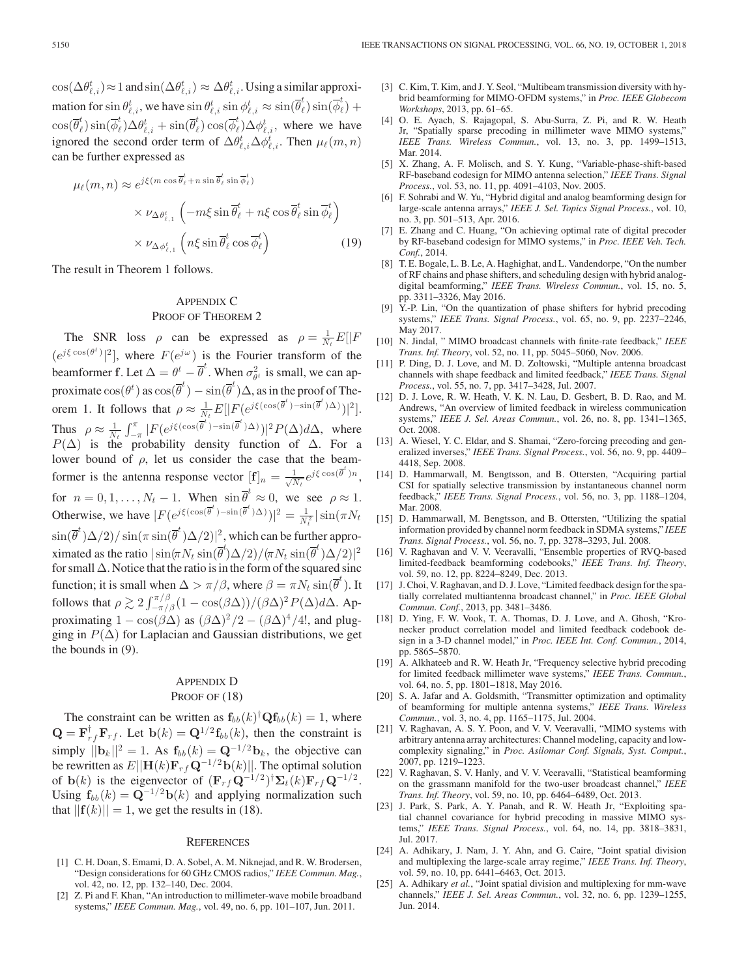$\cos(\Delta \theta_{\ell,i}^t) \approx 1$  and  $\sin(\Delta \theta_{\ell,i}^t) \approx \Delta \theta_{\ell,i}^t$ . Using a similar approximation for  $\sin \theta_{\ell,i}^t$ , we have  $\sin \theta_{\ell,i}^t \sin \phi_{\ell,i}^t \approx \sin(\overline{\theta}_\ell^t) \sin(\overline{\phi}_\ell^t)$  ) +  $\cos(\overline{\theta}_{\ell}^{t}) \sin(\overline{\phi}_{\ell}^{t}) \Delta \theta_{\ell,i}^{t} + \sin(\overline{\theta}_{\ell}^{t}) \cos(\overline{\phi}_{\ell}^{t}) \Delta \phi_{\ell,i}^{t}$ , where we have ignored the second order term of  $\Delta \theta_{\ell,i}^t \Delta \phi_{\ell,i}^t$ . Then  $\mu_\ell(m,n)$ can be further expressed as

$$
\mu_{\ell}(m, n) \approx e^{j\xi(m\cos\overline{\theta}_{\ell}^{t} + n\sin\overline{\theta}_{\ell}^{t}\sin\overline{\phi}_{\ell}^{t})}
$$

$$
\times \nu_{\Delta\theta_{\ell,1}^{t}} \left( -m\xi\sin\overline{\theta}_{\ell}^{t} + n\xi\cos\overline{\theta}_{\ell}^{t}\sin\overline{\phi}_{\ell}^{t} \right)
$$

$$
\times \nu_{\Delta\phi_{\ell,1}^{t}} \left( n\xi\sin\overline{\theta}_{\ell}^{t}\cos\overline{\phi}_{\ell}^{t} \right)
$$
(19)

The result in Theorem 1 follows.

# APPENDIX C PROOF OF THEOREM 2

The SNR loss  $\rho$  can be expressed as  $\rho = \frac{1}{N_t} E[|F|]$  $(e^{j\xi \cos(\theta^t)})^2$ , where  $F(e^{j\omega})$  is the Fourier transform of the beamformer **f**. Let  $\Delta = \theta^t - \overline{\theta}^t$ . When  $\sigma_{\theta^t}^2$  is small, we can approximate  $\cos(\theta^t)$  as  $\cos(\overline{\theta}^t) - \sin(\overline{\theta}^t)\Delta$ , as in the proof of Theorem 1. It follows that  $\rho \approx \frac{1}{N_t} E[|F(e^{j\xi(\cos(\overline{\theta}^t)-\sin(\overline{\theta}^t)\Delta)})|^2].$ Thus  $\rho \approx \frac{1}{N_t} \int_{-\pi}^{\pi} |F(e^{j\xi(\cos(\overline{\theta}^t)-\sin(\overline{\theta}^t)\Delta)})|^2 P(\Delta) d\Delta$ , where  $P(\Delta)$  is the probability density function of  $\Delta$ . For a lower bound of  $\rho$ , let us consider the case that the beamformer is the antenna response vector  $[\mathbf{f}]_n = \frac{1}{\sqrt{N_t}} e^{j\xi \cos(\overline{\theta}^t)n}$ , for  $n = 0, 1, ..., N_t - 1$ . When  $\sin \overline{\theta}^t \approx 0$ , we see  $\rho \approx 1$ . Otherwise, we have  $|F(e^{j\xi(\cos(\overline{\theta}^t)-\sin(\overline{\theta}^t)\Delta)})|^2 = \frac{1}{N_t^2}|\sin(\pi N_t)\rangle$  $\sin(\overline{\theta}^t)\Delta/2)/\sin(\pi \sin(\overline{\theta}^t)\Delta/2)|^2$ , which can be further appro-<br>nimeted as the price  $|\sin(\pi X) - \sin(\overline{\theta}^t)\Delta/2\rangle|$ ximated as the ratio  $|\sin(\pi N_t \sin(\overline{\theta}^t) \Delta/2)/(\pi N_t \sin(\overline{\theta}^t) \Delta/2)|^2$ <br>for small  $\Delta$ . Notice that the ratio is in the form of the squared since for small  $\Delta$ . Notice that the ratio is in the form of the squared sinc function; it is small when  $\Delta > \pi/\beta$ , where  $\beta = \pi N_t \sin(\overline{\theta}^t)$ . It follows that  $\rho \gtrsim 2 \int_{-\pi/8}^{\pi/8} (1 - \cos(\beta \Delta))/(\beta \Delta)^2 P(\Delta) d\Delta$ . Approximating  $1 - \cos(\beta \Delta)$  as  $(\beta \Delta)^2/2 - (\beta \Delta)^4/4!$ , and plug-<br>ging in  $P(\Delta)$  for I antacian and Gaussian distributions, we get ging in  $P(\Delta)$  for Laplacian and Gaussian distributions, we get the bounds in (9).

# APPENDIX D PROOF OF  $(18)$

The constraint can be written as  $\mathbf{f}_{bb}(k)^{\dagger} \mathbf{Q} \mathbf{f}_{bb}(k) = 1$ , where  $-\mathbf{F}^{\dagger} \mathbf{F} = \mathbf{I}$  at  $\mathbf{b}(k) = \mathbf{Q}^{1/2} \mathbf{f}$  (b) then the constraint is  $\mathbf{Q} = \mathbf{F}_{r}^{\dagger} \mathbf{F}_{rf}$ . Let  $\mathbf{b}(k) = \mathbf{Q}^{1/2} \mathbf{f}_{bb}(k)$ , then the constraint is simply  $||\mathbf{b}_k||^2 = 1$ . As  $\mathbf{f}_{bb}(k) = \mathbf{Q}^{-1/2} \mathbf{b}_k$ , the objective can be rewritten as  $E[|\mathbf{H}(k)\mathbf{F}_r f \mathbf{Q}^{-1/2} \mathbf{b}(k)|]$ . The optimal solution of **b**(k) is the eigenvector of  $(\mathbf{F}_r \mathbf{G}^{-1/2})^{\dagger} \mathbf{\Sigma}_t(k) \mathbf{F}_r \mathbf{G}^{-1/2}$ .<br>Using  $\mathbf{f}_r(k) = \mathbf{O}^{-1/2} \mathbf{b}(k)$  and applying pormalization such Using  $f_{bb}(k) = \mathbf{Q}^{-1/2} \mathbf{b}(k)$  and applying normalization such that  $||{\bf f}(k)|| = 1$ , we get the results in (18).

#### **REFERENCES**

- [1] C. H. Doan, S. Emami, D. A. Sobel, A. M. Niknejad, and R. W. Brodersen, "Design considerations for 60 GHz CMOS radios," *IEEE Commun. Mag.*, vol. 42, no. 12, pp. 132–140, Dec. 2004.
- [2] Z. Pi and F. Khan, "An introduction to millimeter-wave mobile broadband systems," *IEEE Commun. Mag.*, vol. 49, no. 6, pp. 101–107, Jun. 2011.
- [3] C. Kim, T. Kim, and J. Y. Seol, "Multibeam transmission diversity with hybrid beamforming for MIMO-OFDM systems," in *Proc. IEEE Globecom Workshops*, 2013, pp. 61–65.
- [4] O. E. Ayach, S. Rajagopal, S. Abu-Surra, Z. Pi, and R. W. Heath Jr, "Spatially sparse precoding in millimeter wave MIMO systems," *IEEE Trans. Wireless Commun.*, vol. 13, no. 3, pp. 1499–1513, Mar. 2014.
- [5] X. Zhang, A. F. Molisch, and S. Y. Kung, "Variable-phase-shift-based RF-baseband codesign for MIMO antenna selection," *IEEE Trans. Signal Process.*, vol. 53, no. 11, pp. 4091–4103, Nov. 2005.
- [6] F. Sohrabi and W. Yu, "Hybrid digital and analog beamforming design for large-scale antenna arrays," *IEEE J. Sel. Topics Signal Process.*, vol. 10, no. 3, pp. 501–513, Apr. 2016.
- [7] E. Zhang and C. Huang, "On achieving optimal rate of digital precoder by RF-baseband codesign for MIMO systems," in *Proc. IEEE Veh. Tech. Conf.*, 2014.
- [8] T. E. Bogale, L. B. Le, A. Haghighat, and L. Vandendorpe, "On the number of RF chains and phase shifters, and scheduling design with hybrid analogdigital beamforming," *IEEE Trans. Wireless Commun.*, vol. 15, no. 5, pp. 3311–3326, May 2016.
- [9] Y.-P. Lin, "On the quantization of phase shifters for hybrid precoding systems," *IEEE Trans. Signal Process.*, vol. 65, no. 9, pp. 2237–2246, May 2017.
- [10] N. Jindal, " MIMO broadcast channels with finite-rate feedback," *IEEE Trans. Inf. Theory*, vol. 52, no. 11, pp. 5045–5060, Nov. 2006.
- [11] P. Ding, D. J. Love, and M. D. Zoltowski, "Multiple antenna broadcast channels with shape feedback and limited feedback," *IEEE Trans. Signal Process.*, vol. 55, no. 7, pp. 3417–3428, Jul. 2007.
- [12] D. J. Love, R. W. Heath, V. K. N. Lau, D. Gesbert, B. D. Rao, and M. Andrews, "An overview of limited feedback in wireless communication systems," *IEEE J. Sel. Areas Commun.*, vol. 26, no. 8, pp. 1341–1365, Oct. 2008.
- [13] A. Wiesel, Y. C. Eldar, and S. Shamai, "Zero-forcing precoding and generalized inverses," *IEEE Trans. Signal Process.*, vol. 56, no. 9, pp. 4409– 4418, Sep. 2008.
- [14] D. Hammarwall, M. Bengtsson, and B. Ottersten, "Acquiring partial CSI for spatially selective transmission by instantaneous channel norm feedback," *IEEE Trans. Signal Process.*, vol. 56, no. 3, pp. 1188–1204, Mar. 2008.
- [15] D. Hammarwall, M. Bengtsson, and B. Ottersten, "Utilizing the spatial information provided by channel norm feedback in SDMA systems," *IEEE Trans. Signal Process.*, vol. 56, no. 7, pp. 3278–3293, Jul. 2008.
- [16] V. Raghavan and V. V. Veeravalli, "Ensemble properties of RVQ-based limited-feedback beamforming codebooks," *IEEE Trans. Inf. Theory*, vol. 59, no. 12, pp. 8224–8249, Dec. 2013.
- [17] J. Choi, V. Raghavan, and D. J. Love, "Limited feedback design for the spatially correlated multiantenna broadcast channel," in *Proc. IEEE Global Commun. Conf.*, 2013, pp. 3481–3486.
- [18] D. Ying, F. W. Vook, T. A. Thomas, D. J. Love, and A. Ghosh, "Kronecker product correlation model and limited feedback codebook design in a 3-D channel model," in *Proc. IEEE Int. Conf. Commun.*, 2014, pp. 5865–5870.
- [19] A. Alkhateeb and R. W. Heath Jr, "Frequency selective hybrid precoding for limited feedback millimeter wave systems," *IEEE Trans. Commun.*, vol. 64, no. 5, pp. 1801–1818, May 2016.
- [20] S. A. Jafar and A. Goldsmith, "Transmitter optimization and optimality of beamforming for multiple antenna systems," *IEEE Trans. Wireless Commun.*, vol. 3, no. 4, pp. 1165–1175, Jul. 2004.
- [21] V. Raghavan, A. S. Y. Poon, and V. V. Veeravalli, "MIMO systems with arbitrary antenna array architectures: Channel modeling, capacity and lowcomplexity signaling," in *Proc. Asilomar Conf. Signals, Syst. Comput.*, 2007, pp. 1219–1223.
- [22] V. Raghavan, S. V. Hanly, and V. V. Veeravalli, "Statistical beamforming on the grassmann manifold for the two-user broadcast channel," *IEEE Trans. Inf. Theory*, vol. 59, no. 10, pp. 6464–6489, Oct. 2013.
- [23] J. Park, S. Park, A. Y. Panah, and R. W. Heath Jr, "Exploiting spatial channel covariance for hybrid precoding in massive MIMO systems," *IEEE Trans. Signal Process.*, vol. 64, no. 14, pp. 3818–3831, Jul. 2017.
- [24] A. Adhikary, J. Nam, J. Y. Ahn, and G. Caire, "Joint spatial division and multiplexing the large-scale array regime," *IEEE Trans. Inf. Theory*, vol. 59, no. 10, pp. 6441–6463, Oct. 2013.
- [25] A. Adhikary *et al.*, "Joint spatial division and multiplexing for mm-wave channels," *IEEE J. Sel. Areas Commun.*, vol. 32, no. 6, pp. 1239–1255, Jun. 2014.